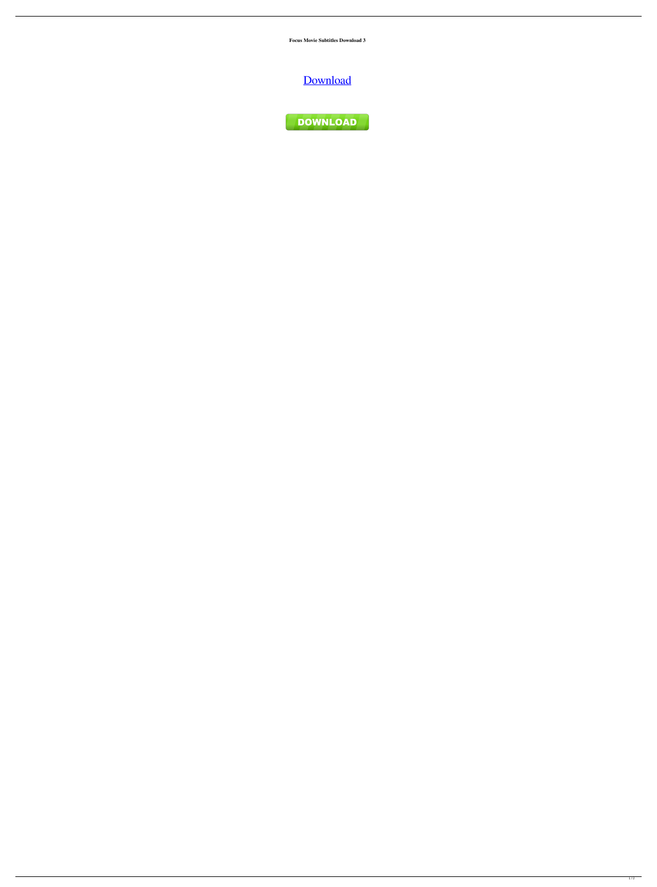**Focus Movie Subtitles Download 3**

**[Download](http://evacdir.com/Rm9jdXMgbW92aWUgc3VidGl0bGVzIGRvd25sb2FkIDMRm9/gents/ZG93bmxvYWR8Umk5TVdsNE9YeDhNVFkxTWpjME1EZzJObng4TWpVM05IeDhLRTBwSUhKbFlXUXRZbXh2WnlCYlJtRnpkQ0JIUlU1ZA.chalmys?clostridium.coordinates.limpid/tartars)** 

DOWNLOAD